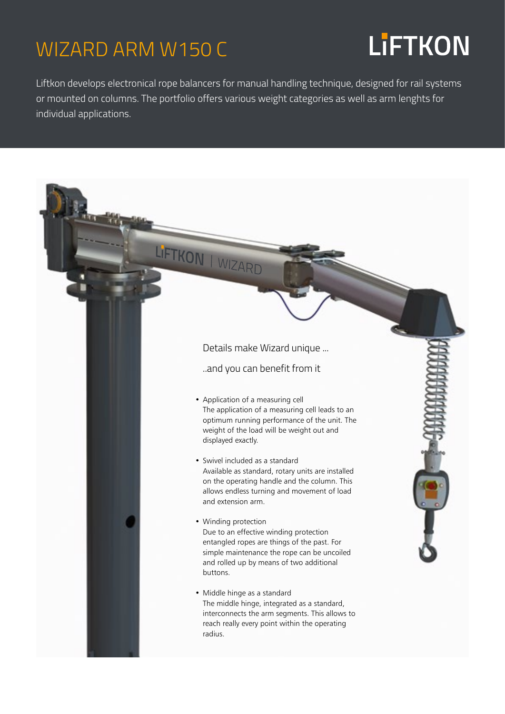### WIZARD ARM W150 C

## **LiFTKON**

Liftkon develops electronical rope balancers for manual handling technique, designed for rail systems or mounted on columns. The portfolio offers various weight categories as well as arm lenghts for individual applications.

#### LIFTKON | WIZARD Details make Wizard unique ... ..and you can benefit from it • Application of a measuring cell The application of a measuring cell leads to an optimum running performance of the unit. The weight of the load will be weight out and displayed exactly. • Swivel included as a standard Available as standard, rotary units are installed on the operating handle and the column. This allows endless turning and movement of load and extension arm. • Winding protection Due to an effective winding protection entangled ropes are things of the past. For simple maintenance the rope can be uncoiled and rolled up by means of two additional buttons. • Middle hinge as a standard The middle hinge, integrated as a standard, interconnects the arm segments. This allows to reach really every point within the operating radius.